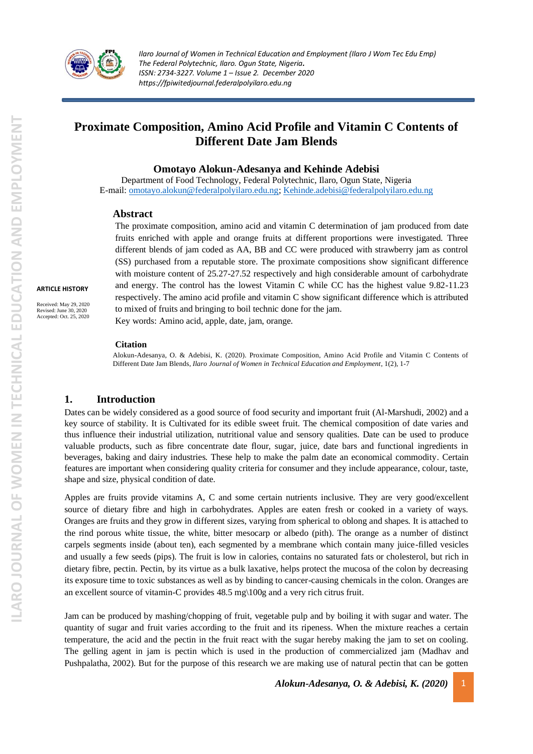

# **Proximate Composition, Amino Acid Profile and Vitamin C Contents of Different Date Jam Blends**

#### **Omotayo Alokun-Adesanya and Kehinde Adebisi**

Department of Food Technology, Federal Polytechnic, Ilaro, Ogun State, Nigeria E-mail: [omotayo.alokun@federalpolyilaro.edu.ng;](mailto:omotayo.alokun@federalpolyilaro.edu.ng) [Kehinde.adebisi@federalpolyilaro.edu.ng](mailto:Kehinde.adebisi@federalpolyilaro.edu.ng)

#### **Abstract**

The proximate composition, amino acid and vitamin C determination of jam produced from date fruits enriched with apple and orange fruits at different proportions were investigated. Three different blends of jam coded as AA, BB and CC were produced with strawberry jam as control (SS) purchased from a reputable store. The proximate compositions show significant difference with moisture content of 25.27-27.52 respectively and high considerable amount of carbohydrate and energy. The control has the lowest Vitamin C while CC has the highest value 9.82-11.23 respectively. The amino acid profile and vitamin C show significant difference which is attributed to mixed of fruits and bringing to boil technic done for the jam.

Key words: Amino acid, apple, date, jam, orange.

#### **Citation**

Alokun-Adesanya, O. & Adebisi, K. (2020). Proximate Composition, Amino Acid Profile and Vitamin C Contents of Different Date Jam Blends, *Ilaro Journal of Women in Technical Education and Employment*, 1(2), 1-7

#### **1. Introduction**

Dates can be widely considered as a good source of food security and important fruit (Al-Marshudi, 2002) and a key source of stability. It is Cultivated for its edible sweet fruit. The chemical composition of date varies and thus influence their industrial utilization, nutritional value and sensory qualities. Date can be used to produce valuable products, such as fibre concentrate date flour, sugar, juice, date bars and functional ingredients in beverages, baking and dairy industries. These help to make the palm date an economical commodity. Certain features are important when considering quality criteria for consumer and they include appearance, colour, taste, shape and size, physical condition of date.

Apples are fruits provide vitamins A, C and some certain nutrients inclusive. They are very good/excellent source of dietary fibre and high in carbohydrates. Apples are eaten fresh or cooked in a variety of ways. Oranges are fruits and they grow in different sizes, varying from spherical to oblong and shapes. It is attached to the rind porous white tissue, the white, bitter mesocarp or albedo (pith). The orange as a number of distinct carpels segments inside (about ten), each segmented by a membrane which contain many juice-filled vesicles and usually a few seeds (pips). The fruit is low in calories, contains no saturated fats or cholesterol, but rich in dietary fibre, pectin. Pectin, by its virtue as a bulk laxative, helps protect the mucosa of the colon by decreasing its exposure time to toxic substances as well as by binding to cancer-causing chemicals in the colon. Oranges are an excellent source of vitamin-C provides 48.5 mg\100g and a very rich citrus fruit.

Jam can be produced by mashing/chopping of fruit, vegetable pulp and by boiling it with sugar and water. The quantity of sugar and fruit varies according to the fruit and its ripeness. When the mixture reaches a certain temperature, the acid and the pectin in the fruit react with the sugar hereby making the jam to set on cooling. The gelling agent in jam is pectin which is used in the production of commercialized jam (Madhav and Pushpalatha, 2002). But for the purpose of this research we are making use of natural pectin that can be gotten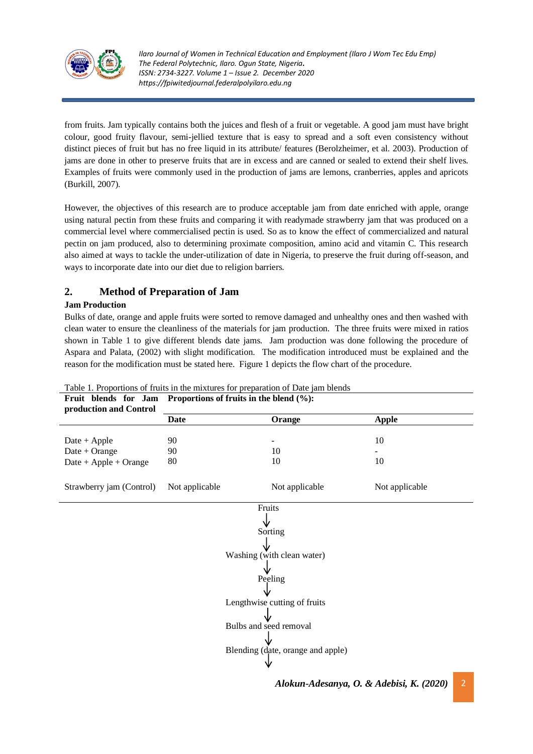

from fruits. Jam typically contains both the juices and flesh of a fruit or vegetable. A good jam must have bright colour, good fruity flavour, semi-jellied texture that is easy to spread and a soft even consistency without distinct pieces of fruit but has no free liquid in its attribute/ features (Berolzheimer, et al. 2003). Production of jams are done in other to preserve fruits that are in excess and are canned or sealed to extend their shelf lives. Examples of fruits were commonly used in the production of jams are lemons, cranberries, apples and apricots (Burkill, 2007).

However, the objectives of this research are to produce acceptable jam from date enriched with apple, orange using natural pectin from these fruits and comparing it with readymade strawberry jam that was produced on a commercial level where commercialised pectin is used. So as to know the effect of commercialized and natural pectin on jam produced, also to determining proximate composition, amino acid and vitamin C. This research also aimed at ways to tackle the under-utilization of date in Nigeria, to preserve the fruit during off-season, and ways to incorporate date into our diet due to religion barriers.

# **2. Method of Preparation of Jam**

#### **Jam Production**

Bulks of date, orange and apple fruits were sorted to remove damaged and unhealthy ones and then washed with clean water to ensure the cleanliness of the materials for jam production. The three fruits were mixed in ratios shown in Table 1 to give different blends date jams. Jam production was done following the procedure of Aspara and Palata, (2002) with slight modification. The modification introduced must be explained and the reason for the modification must be stated here. Figure 1 depicts the flow chart of the procedure.

| Fruit blends for Jam<br>production and Control | Proportions of fruits in the blend $(\%):$ |                |                |  |  |
|------------------------------------------------|--------------------------------------------|----------------|----------------|--|--|
|                                                | <b>Date</b>                                | Orange         | <b>Apple</b>   |  |  |
|                                                |                                            |                |                |  |  |
| $Date + Apple$                                 | 90                                         |                | 10             |  |  |
| Date + Orange                                  | 90                                         | 10             |                |  |  |
| $Date + Apple + Orange$                        | 80                                         | 10             | 10             |  |  |
|                                                |                                            |                |                |  |  |
| Strawberry jam (Control)                       | Not applicable                             | Not applicable | Not applicable |  |  |
|                                                |                                            | Fruits         |                |  |  |
|                                                |                                            |                |                |  |  |
|                                                |                                            |                |                |  |  |
| Sorting                                        |                                            |                |                |  |  |
|                                                |                                            |                |                |  |  |
| Washing (with clean water)                     |                                            |                |                |  |  |
|                                                |                                            |                |                |  |  |
| Peeling                                        |                                            |                |                |  |  |
|                                                |                                            |                |                |  |  |
| Lengthwise cutting of fruits                   |                                            |                |                |  |  |
|                                                |                                            |                |                |  |  |
| Bulbs and seed removal                         |                                            |                |                |  |  |
|                                                |                                            |                |                |  |  |
| Blending (date, orange and apple)              |                                            |                |                |  |  |
|                                                |                                            |                |                |  |  |

Table 1. Proportions of fruits in the mixtures for preparation of Date jam blends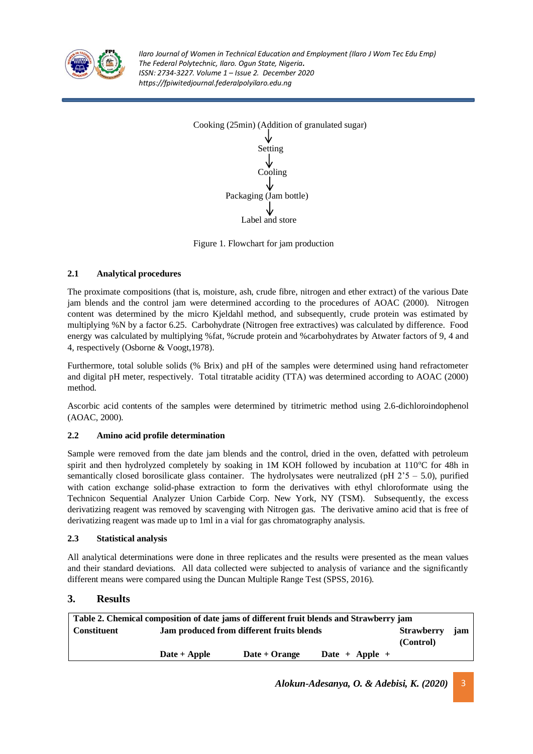



Figure 1. Flowchart for jam production

### **2.1 Analytical procedures**

The proximate compositions (that is, moisture, ash, crude fibre, nitrogen and ether extract) of the various Date jam blends and the control jam were determined according to the procedures of AOAC (2000). Nitrogen content was determined by the micro Kjeldahl method, and subsequently, crude protein was estimated by multiplying %N by a factor 6.25. Carbohydrate (Nitrogen free extractives) was calculated by difference. Food energy was calculated by multiplying %fat, %crude protein and %carbohydrates by Atwater factors of 9, 4 and 4, respectively (Osborne & Voogt,1978).

Furthermore, total soluble solids (% Brix) and pH of the samples were determined using hand refractometer and digital pH meter, respectively. Total titratable acidity (TTA) was determined according to AOAC (2000) method.

Ascorbic acid contents of the samples were determined by titrimetric method using 2.6-dichloroindophenol (AOAC, 2000).

#### **2.2 Amino acid profile determination**

Sample were removed from the date jam blends and the control, dried in the oven, defatted with petroleum spirit and then hydrolyzed completely by soaking in 1M KOH followed by incubation at  $110^{\circ}$ C for 48h in semantically closed borosilicate glass container. The hydrolysates were neutralized (pH  $2^{\prime}5 - 5.0$ ), purified with cation exchange solid-phase extraction to form the derivatives with ethyl chloroformate using the Technicon Sequential Analyzer Union Carbide Corp. New York, NY (TSM). Subsequently, the excess derivatizing reagent was removed by scavenging with Nitrogen gas. The derivative amino acid that is free of derivatizing reagent was made up to 1ml in a vial for gas chromatography analysis.

#### **2.3 Statistical analysis**

All analytical determinations were done in three replicates and the results were presented as the mean values and their standard deviations. All data collected were subjected to analysis of variance and the significantly different means were compared using the Duncan Multiple Range Test (SPSS, 2016).

# **3. Results**

| Table 2. Chemical composition of date jams of different fruit blends and Strawberry jam |                                           |                                |                |  |  |
|-----------------------------------------------------------------------------------------|-------------------------------------------|--------------------------------|----------------|--|--|
| <b>Constituent</b>                                                                      | Jam produced from different fruits blends | <b>Strawberry</b><br>(Control) | jam            |  |  |
|                                                                                         | $\textbf{Date} + \textbf{Apple}$          | Date + Orange                  | Date + Apple + |  |  |

*Alokun-Adesanya, O. & Adebisi, K. (2020)* 3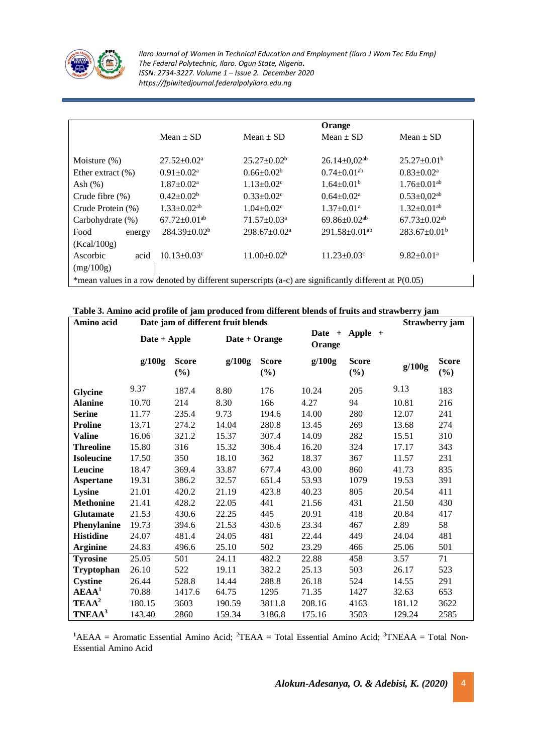

|                                                                                                        |                                |                              | Orange                         |                                |  |
|--------------------------------------------------------------------------------------------------------|--------------------------------|------------------------------|--------------------------------|--------------------------------|--|
|                                                                                                        | $Mean \pm SD$                  | Mean $\pm$ SD                | Mean $\pm$ SD                  | Mean $\pm$ SD                  |  |
|                                                                                                        |                                |                              |                                |                                |  |
| Moisture $(\%)$                                                                                        | $27.52 \pm 0.02^{\text{a}}$    | $25.27 \pm 0.02^b$           | $26.14 \pm 0.02$ <sup>ab</sup> | $25.27 \pm 0.01^b$             |  |
| Ether extract $(\%)$                                                                                   | $0.91 \pm 0.02^a$              | $0.66 \pm 0.02^b$            | $0.74+0.01^{ab}$               | $0.83 \pm 0.02^{\text{a}}$     |  |
| Ash $(\%)$                                                                                             | $1.87 \pm 0.02^{\text{a}}$     | $1.13 \pm 0.02$ <sup>c</sup> | $1.64 \pm 0.01^b$              | $1.76 \pm 0.01$ <sup>ab</sup>  |  |
| Crude fibre $(\%)$                                                                                     | $0.42 \pm 0.02^b$              | $0.33 \pm 0.02$ <sup>c</sup> | $0.64 \pm 0.02^{\text{a}}$     | $0.53 \pm 0.02$ <sup>ab</sup>  |  |
| Crude Protein (%)                                                                                      | $1.33 \pm 0.02$ <sup>ab</sup>  | $1.04 \pm 0.02$ <sup>c</sup> | $1.37 \pm 0.01^{\text{a}}$     | $1.32 \pm 0.01$ <sup>ab</sup>  |  |
| Carbohydrate (%)                                                                                       | $67.72 \pm 0.01$ <sup>ab</sup> | $71.57 \pm 0.03^{\text{a}}$  | 69.86 $\pm$ 0.02 <sup>ab</sup> | $67.73 \pm 0.02$ <sup>ab</sup> |  |
| Food<br>energy                                                                                         | $284.39 \pm 0.02^b$            | $298.67 \pm 0.02^a$          | $291.58 \pm 0.01^{ab}$         | $283.67 \pm 0.01^b$            |  |
| (Kcal/100g)                                                                                            |                                |                              |                                |                                |  |
| Ascorbic<br>acid                                                                                       | $10.13 \pm 0.03$ <sup>c</sup>  | $11.00+0.02b$                | $11.23 \pm 0.03$ <sup>c</sup>  | $9.82 \pm 0.01$ <sup>a</sup>   |  |
| (mg/100g)                                                                                              |                                |                              |                                |                                |  |
| *mean values in a row denoted by different superscripts (a-c) are significantly different at $P(0.05)$ |                                |                              |                                |                                |  |

|            |                                    | Table 3. Amino acid profile of jam produced from different blends of fruits and strawberry jam |
|------------|------------------------------------|------------------------------------------------------------------------------------------------|
| Amino acid | Date iam of different fruit blends | <b>Strawberry</b>                                                                              |

| Amino acid         | Date jam of different fruit blends |                        |               |                        | Strawberry jam              |                        |        |                        |
|--------------------|------------------------------------|------------------------|---------------|------------------------|-----------------------------|------------------------|--------|------------------------|
|                    | Date + Apple                       |                        | Date + Orange |                        | Apple +<br>Date +<br>Orange |                        |        |                        |
|                    | g/100g                             | <b>Score</b><br>$(\%)$ | g/100g        | <b>Score</b><br>$(\%)$ | g/100g                      | <b>Score</b><br>$(\%)$ | g/100g | <b>Score</b><br>$(\%)$ |
| <b>Glycine</b>     | 9.37                               | 187.4                  | 8.80          | 176                    | 10.24                       | 205                    | 9.13   | 183                    |
| <b>Alanine</b>     | 10.70                              | 214                    | 8.30          | 166                    | 4.27                        | 94                     | 10.81  | 216                    |
| <b>Serine</b>      | 11.77                              | 235.4                  | 9.73          | 194.6                  | 14.00                       | 280                    | 12.07  | 241                    |
| <b>Proline</b>     | 13.71                              | 274.2                  | 14.04         | 280.8                  | 13.45                       | 269                    | 13.68  | 274                    |
| <b>Valine</b>      | 16.06                              | 321.2                  | 15.37         | 307.4                  | 14.09                       | 282                    | 15.51  | 310                    |
| <b>Threoline</b>   | 15.80                              | 316                    | 15.32         | 306.4                  | 16.20                       | 324                    | 17.17  | 343                    |
| <b>Isoleucine</b>  | 17.50                              | 350                    | 18.10         | 362                    | 18.37                       | 367                    | 11.57  | 231                    |
| Leucine            | 18.47                              | 369.4                  | 33.87         | 677.4                  | 43.00                       | 860                    | 41.73  | 835                    |
| <b>Aspertane</b>   | 19.31                              | 386.2                  | 32.57         | 651.4                  | 53.93                       | 1079                   | 19.53  | 391                    |
| Lysine             | 21.01                              | 420.2                  | 21.19         | 423.8                  | 40.23                       | 805                    | 20.54  | 411                    |
| <b>Methonine</b>   | 21.41                              | 428.2                  | 22.05         | 441                    | 21.56                       | 431                    | 21.50  | 430                    |
| <b>Glutamate</b>   | 21.53                              | 430.6                  | 22.25         | 445                    | 20.91                       | 418                    | 20.84  | 417                    |
| Phenylanine        | 19.73                              | 394.6                  | 21.53         | 430.6                  | 23.34                       | 467                    | 2.89   | 58                     |
| <b>Histidine</b>   | 24.07                              | 481.4                  | 24.05         | 481                    | 22.44                       | 449                    | 24.04  | 481                    |
| <b>Arginine</b>    | 24.83                              | 496.6                  | 25.10         | 502                    | 23.29                       | 466                    | 25.06  | 501                    |
| <b>Tyrosine</b>    | 25.05                              | 501                    | 24.11         | 482.2                  | 22.88                       | 458                    | 3.57   | 71                     |
| <b>Tryptophan</b>  | 26.10                              | 522                    | 19.11         | 382.2                  | 25.13                       | 503                    | 26.17  | 523                    |
| <b>Cystine</b>     | 26.44                              | 528.8                  | 14.44         | 288.8                  | 26.18                       | 524                    | 14.55  | 291                    |
| $\bf AEAA^1$       | 70.88                              | 1417.6                 | 64.75         | 1295                   | 71.35                       | 1427                   | 32.63  | 653                    |
| TEAA <sup>2</sup>  | 180.15                             | 3603                   | 190.59        | 3811.8                 | 208.16                      | 4163                   | 181.12 | 3622                   |
| TNEAA <sup>3</sup> | 143.40                             | 2860                   | 159.34        | 3186.8                 | 175.16                      | 3503                   | 129.24 | 2585                   |

<sup>1</sup>AEAA = Aromatic Essential Amino Acid; <sup>2</sup>TEAA = Total Essential Amino Acid; <sup>3</sup>TNEAA = Total Non-Essential Amino Acid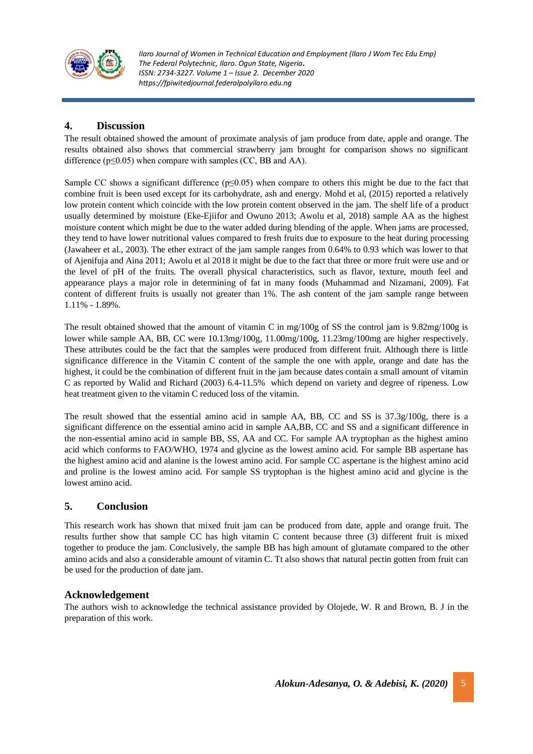

# **4. Discussion**

The result obtained showed the amount of proximate analysis of jam produce from date, apple and orange. The results obtained also shows that commercial strawberry jam brought for comparison shows no significant difference ( $p \le 0.05$ ) when compare with samples (CC, BB and AA).

Sample CC shows a significant difference ( $p \le 0.05$ ) when compare to others this might be due to the fact that combine fruit is been used except for its carbohydrate, ash and energy. Mohd et al, (2015) reported a relatively low protein content which coincide with the low protein content observed in the jam. The shelf life of a product usually determined by moisture (Eke-Ejiifor and Owuno 2013; Awolu et al, 2018) sample AA as the highest moisture content which might be due to the water added during blending of the apple. When jams are processed, they tend to have lower nutritional values compared to fresh fruits due to exposure to the heat during processing (Jawaheer et al., 2003). The ether extract of the jam sample ranges from 0.64% to 0.93 which was lower to that of Ajenifuja and Aina 2011; Awolu et al 2018 it might be due to the fact that three or more fruit were use and or the level of pH of the fruits. The overall physical characteristics, such as flavor, texture, mouth feel and appearance plays a major role in determining of fat in many foods (Muhammad and Nizamani, 2009). Fat content of different fruits is usually not greater than 1%. The ash content of the jam sample range between 1.11% - 1.89%.

The result obtained showed that the amount of vitamin C in mg/100g of SS the control jam is 9.82mg/100g is lower while sample AA, BB, CC were 10.13mg/100g, 11.00mg/100g, 11.23mg/100mg are higher respectively. These attributes could be the fact that the samples were produced from different fruit. Although there is little significance difference in the Vitamin C content of the sample the one with apple, orange and date has the highest, it could be the combination of different fruit in the jam because dates contain a small amount of vitamin C as reported by Walid and Richard (2003) 6.4-11.5% which depend on variety and degree of ripeness. Low heat treatment given to the vitamin C reduced loss of the vitamin.

The result showed that the essential amino acid in sample AA, BB, CC and SS is 37.3g/100g, there is a significant difference on the essential amino acid in sample AA,BB, CC and SS and a significant difference in the non-essential amino acid in sample BB, SS, AA and CC. For sample AA tryptophan as the highest amino acid which conforms to FAO/WHO, 1974 and glycine as the lowest amino acid. For sample BB aspertane has the highest amino acid and alanine is the lowest amino acid. For sample CC aspertane is the highest amino acid and proline is the lowest amino acid. For sample SS tryptophan is the highest amino acid and glycine is the lowest amino acid.

# **5. Conclusion**

This research work has shown that mixed fruit jam can be produced from date, apple and orange fruit. The results further show that sample CC has high vitamin C content because three (3) different fruit is mixed together to produce the jam. Conclusively, the sample BB has high amount of glutamate compared to the other amino acids and also a considerable amount of vitamin C. Tt also shows that natural pectin gotten from fruit can be used for the production of date jam.

#### **Acknowledgement**

The authors wish to acknowledge the technical assistance provided by Olojede, W. R and Brown, B. J in the preparation of this work.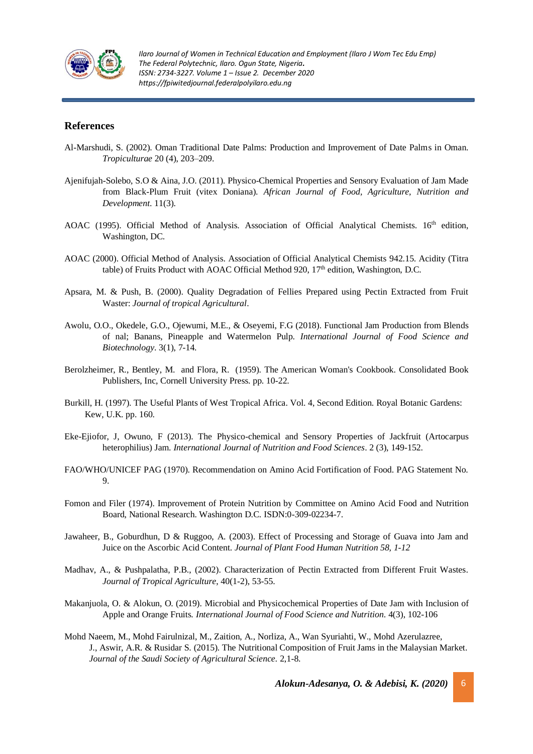

#### **References**

- Al-Marshudi, S. (2002). Oman Traditional Date Palms: Production and Improvement of Date Palms in Oman. *Tropiculturae* 20 (4), 203–209.
- Ajenifujah-Solebo, S.O & Aina, J.O. (2011). Physico-Chemical Properties and Sensory Evaluation of Jam Made from Black-Plum Fruit (vitex Doniana). *African Journal of Food, Agriculture, Nutrition and Development*. 11(3).
- AOAC (1995). Official Method of Analysis. Association of Official Analytical Chemists. 16<sup>th</sup> edition, Washington, DC.
- AOAC (2000). Official Method of Analysis. Association of Official Analytical Chemists 942.15. Acidity (Titra table) of Fruits Product with AOAC Official Method 920,  $17<sup>th</sup>$  edition, Washington, D.C.
- Apsara, M. & Push, B. (2000). Quality Degradation of Fellies Prepared using Pectin Extracted from Fruit Waster: *Journal of tropical Agricultural*.
- Awolu, O.O., Okedele, G.O., Ojewumi, M.E., & Oseyemi, F.G (2018). Functional Jam Production from Blends of nal; Banans, Pineapple and Watermelon Pulp. *International Journal of Food Science and Biotechnology*. 3(1), 7-14.
- Berolzheimer, R., Bentley, M. and Flora, R. (1959). The American Woman's Cookbook. Consolidated Book Publishers, Inc, Cornell University Press. pp. 10-22.
- Burkill, H. (1997). The Useful Plants of West Tropical Africa. Vol. 4, Second Edition. Royal Botanic Gardens: Kew, U.K. pp. 160.
- Eke-Ejiofor, J, Owuno, F (2013). The Physico-chemical and Sensory Properties of Jackfruit (Artocarpus heterophilius) Jam. *International Journal of Nutrition and Food Sciences*. 2 (3), 149-152.
- FAO/WHO/UNICEF PAG (1970). Recommendation on Amino Acid Fortification of Food. PAG Statement No. 9.
- Fomon and Filer (1974). Improvement of Protein Nutrition by Committee on Amino Acid Food and Nutrition Board, National Research. Washington D.C. ISDN:0-309-02234-7.
- Jawaheer, B., Goburdhun, D & Ruggoo, A. (2003). Effect of Processing and Storage of Guava into Jam and Juice on the Ascorbic Acid Content. *Journal of Plant Food Human Nutrition 58, 1-12*
- Madhav, A., & Pushpalatha, P.B., (2002). Characterization of Pectin Extracted from Different Fruit Wastes*. Journal of Tropical Agriculture*, 40(1-2), 53-55.
- Makanjuola, O. & Alokun, O. (2019). Microbial and Physicochemical Properties of Date Jam with Inclusion of Apple and Orange Fruits. *International Journal of Food Science and Nutrition*. 4(3), 102-106
- Mohd Naeem, M., Mohd Fairulnizal, M., Zaition, A., Norliza, A., Wan Syuriahti, W., Mohd Azerulazree, J., Aswir, A.R. & Rusidar S. (2015). The Nutritional Composition of Fruit Jams in the Malaysian Market. *Journal of the Saudi Society of Agricultural Science.* 2,1-8.